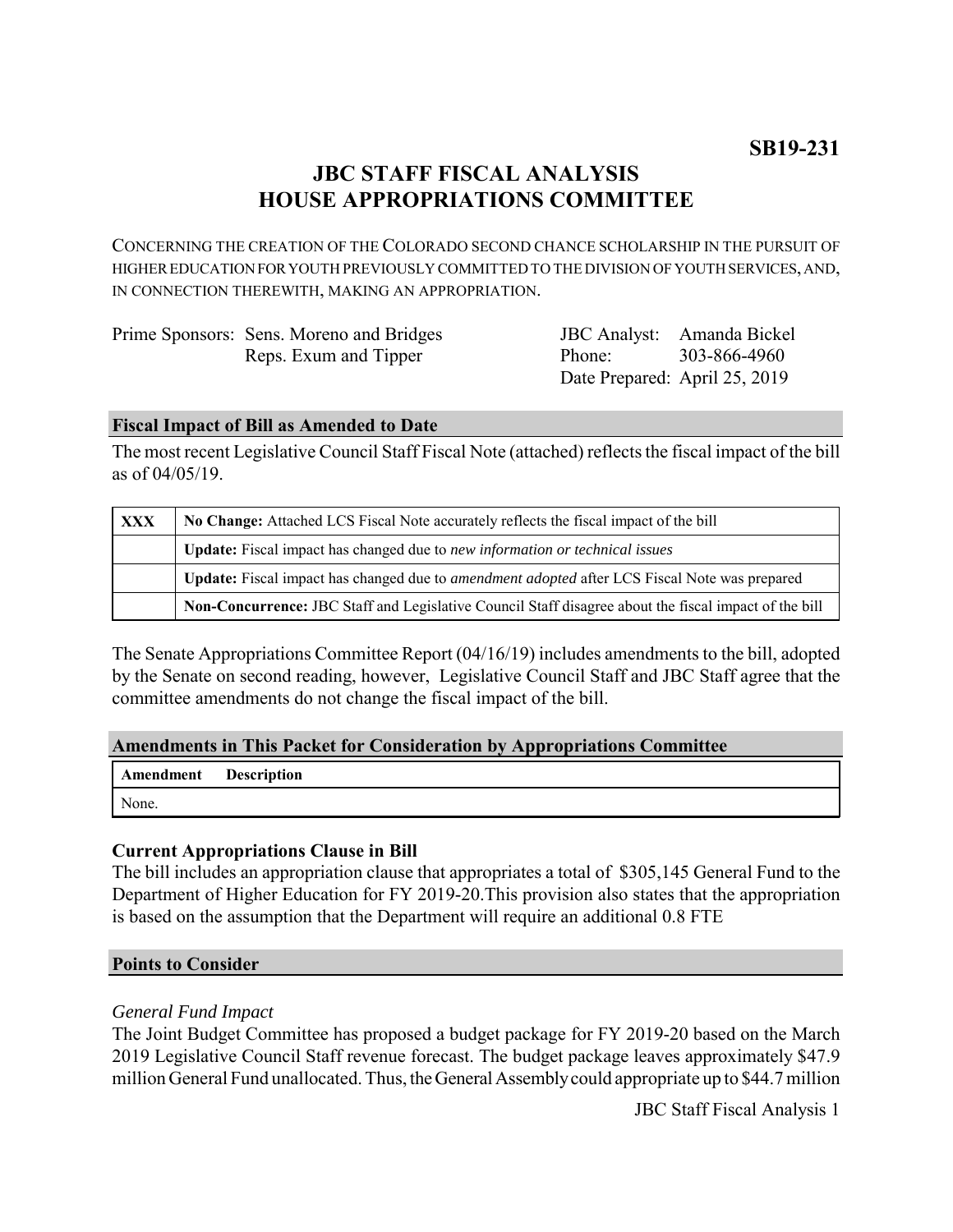# **JBC STAFF FISCAL ANALYSIS HOUSE APPROPRIATIONS COMMITTEE**

CONCERNING THE CREATION OF THE COLORADO SECOND CHANCE SCHOLARSHIP IN THE PURSUIT OF HIGHER EDUCATION FOR YOUTH PREVIOUSLY COMMITTED TO THE DIVISION OF YOUTH SERVICES, AND, IN CONNECTION THEREWITH, MAKING AN APPROPRIATION.

| Prime Sponsors: Sens. Moreno and Bridges |        | JBC Analyst: Amanda Bickel    |
|------------------------------------------|--------|-------------------------------|
| Reps. Exum and Tipper                    | Phone: | 303-866-4960                  |
|                                          |        | Date Prepared: April 25, 2019 |

### **Fiscal Impact of Bill as Amended to Date**

The most recent Legislative Council Staff Fiscal Note (attached) reflects the fiscal impact of the bill as of 04/05/19.

| XXX | No Change: Attached LCS Fiscal Note accurately reflects the fiscal impact of the bill                 |  |
|-----|-------------------------------------------------------------------------------------------------------|--|
|     | <b>Update:</b> Fiscal impact has changed due to new information or technical issues                   |  |
|     | Update: Fiscal impact has changed due to <i>amendment adopted</i> after LCS Fiscal Note was prepared  |  |
|     | Non-Concurrence: JBC Staff and Legislative Council Staff disagree about the fiscal impact of the bill |  |

The Senate Appropriations Committee Report (04/16/19) includes amendments to the bill, adopted by the Senate on second reading, however, Legislative Council Staff and JBC Staff agree that the committee amendments do not change the fiscal impact of the bill.

# **Amendments in This Packet for Consideration by Appropriations Committee**

| <b>Amendment</b> Description |  |
|------------------------------|--|
| None.                        |  |

# **Current Appropriations Clause in Bill**

The bill includes an appropriation clause that appropriates a total of \$305,145 General Fund to the Department of Higher Education for FY 2019-20.This provision also states that the appropriation is based on the assumption that the Department will require an additional 0.8 FTE

#### **Points to Consider**

# *General Fund Impact*

The Joint Budget Committee has proposed a budget package for FY 2019-20 based on the March 2019 Legislative Council Staff revenue forecast. The budget package leaves approximately \$47.9 million General Fund unallocated. Thus, the General Assembly could appropriate up to \$44.7 million